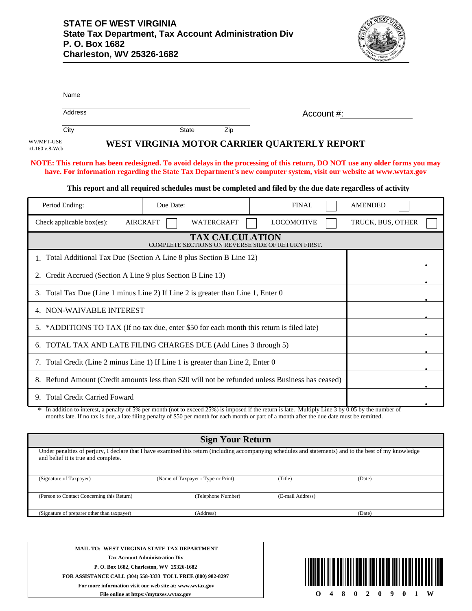

| Name                                                                                                                                                                                            |                                    |                         |                                                                                                                                               |                   |
|-------------------------------------------------------------------------------------------------------------------------------------------------------------------------------------------------|------------------------------------|-------------------------|-----------------------------------------------------------------------------------------------------------------------------------------------|-------------------|
| Address                                                                                                                                                                                         |                                    |                         | Account #:                                                                                                                                    |                   |
| City                                                                                                                                                                                            | <b>State</b>                       | Zip                     |                                                                                                                                               |                   |
| WV/MFT-USE<br>rtL160 v.8-Web                                                                                                                                                                    |                                    |                         | WEST VIRGINIA MOTOR CARRIER QUARTERLY REPORT                                                                                                  |                   |
| NOTE: This return has been redesigned. To avoid delays in the processing of this return, DO NOT use any older forms you may                                                                     |                                    |                         | have. For information regarding the State Tax Department's new computer system, visit our website at www.wvtax.gov                            |                   |
|                                                                                                                                                                                                 |                                    |                         | This report and all required schedules must be completed and filed by the due date regardless of activity                                     |                   |
| Period Ending:                                                                                                                                                                                  | Due Date:                          |                         | <b>FINAL</b>                                                                                                                                  | <b>AMENDED</b>    |
| Check applicable box(es):                                                                                                                                                                       | <b>AIRCRAFT</b>                    | <b>WATERCRAFT</b>       | <b>LOCOMOTIVE</b>                                                                                                                             | TRUCK, BUS, OTHER |
|                                                                                                                                                                                                 |                                    | <b>TAX CALCULATION</b>  | COMPLETE SECTIONS ON REVERSE SIDE OF RETURN FIRST.                                                                                            |                   |
| 1. Total Additional Tax Due (Section A Line 8 plus Section B Line 12)                                                                                                                           |                                    |                         |                                                                                                                                               |                   |
| 2. Credit Accrued (Section A Line 9 plus Section B Line 13)                                                                                                                                     |                                    |                         |                                                                                                                                               |                   |
| 3. Total Tax Due (Line 1 minus Line 2) If Line 2 is greater than Line 1, Enter 0                                                                                                                |                                    |                         |                                                                                                                                               |                   |
| 4. NON-WAIVABLE INTEREST                                                                                                                                                                        |                                    |                         |                                                                                                                                               |                   |
| 5. *ADDITIONS TO TAX (If no tax due, enter \$50 for each month this return is filed late)                                                                                                       |                                    |                         |                                                                                                                                               |                   |
| 6. TOTAL TAX AND LATE FILING CHARGES DUE (Add Lines 3 through 5)                                                                                                                                |                                    |                         |                                                                                                                                               |                   |
| 7. Total Credit (Line 2 minus Line 1) If Line 1 is greater than Line 2, Enter 0                                                                                                                 |                                    |                         |                                                                                                                                               |                   |
| 8. Refund Amount (Credit amounts less than \$20 will not be refunded unless Business has ceased)                                                                                                |                                    |                         |                                                                                                                                               |                   |
| 9. Total Credit Carried Foward                                                                                                                                                                  |                                    |                         |                                                                                                                                               |                   |
| * In addition to interest, a penalty of 5% per month (not to exceed 25%) is imposed if the return is late. Multiply Line 3 by 0.05 by the number of                                             |                                    |                         | months late. If no tax is due, a late filing penalty of \$50 per month for each month or part of a month after the due date must be remitted. |                   |
|                                                                                                                                                                                                 |                                    | <b>Sign Your Return</b> |                                                                                                                                               |                   |
| Under penalties of perjury, I declare that I have examined this return (including accompanying schedules and statements) and to the best of my knowledge<br>and belief it is true and complete. |                                    |                         |                                                                                                                                               |                   |
| (Signature of Taxpayer)                                                                                                                                                                         | (Name of Taxpayer - Type or Print) |                         | (Title)                                                                                                                                       | (Date)            |
| (Person to Contact Concerning this Return)                                                                                                                                                      |                                    | (Telephone Number)      | (E-mail Address)                                                                                                                              |                   |

**MAIL TO: WEST VIRGINIA STATE TAX DEPARTMENT Tax Account Administration Div P. O. Box 1682, Charleston, WV 25326-1682 FOR ASSISTANCE CALL (304) 558-3333 TOLL FREE (800) 982-8297 For more information visit our web site at: www.wvtax.gov**

(Signature of preparer other than taxpayer) (Address) (Date)



**File online at https://mytaxes.wvtax.gov**